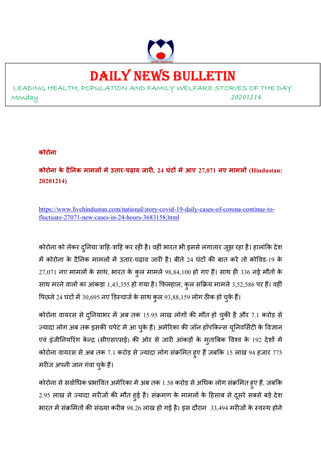

# DAILY NEWS BULLETIN

LEADING HEALTH, POPULATION AND FAMILY WELFARE STORIES OF THE DAY Monday *<sup>20201214</sup>*

#### **कोरोना**

**कोरोना के दै नक मामल मउतार-चढ़ाव जार, 24 घंट मआए 27,071 नए मामल (Hindustan: 20201214)** 

https://www.livehindustan.com/national/story-covid-19-daily-cases-of-corona-continue-tofluctuate-27071-new-cases-in-24-hours-3683158.html

कोरोना को लेकर दुनिया त्राहि-त्राहि कर रही है। वहीं भारत भी इससे लगातार जूझ रहा है। हालांकि देश में कोरोना के दैनिक मामलों में उतार-चढ़ाव जारी है। बीते 24 घंटों की बात करें तो कोविड-19 के  $27,071$  नए मामलों के साथ, भारत के कुल मामले  $98,84,100$  हो गए हैं। साथ ही  $336$  नई मौतों के साथ मरने वालों का आंकड़ा 1,43,355 हो गया है। फिलहाल, कुल सक्रिय मामले 3,52,586 पर हैं। वहीं पिछले 24 घंटों में 30,695 नए डिस्चार्ज के साथ कुल 93,88,159 लोग ठीक हो चुके हैं।

कोरोना वायरस से दुनियाभर में अब तक 15.95 लाख लोगों की मौत हो चुकी है और 7.1 करोड़ से ज्यादा लोग अब तक इसकी चपेट में आ चुके हैं। अमेरिका की जॉन हॉपकिन्स यूनिवर्सिटी के विज्ञान एवं इंजीनियरिंग केन्द्र (सीएसएसई) की ओर से जारी आंकड़ों के मुताबिक विश्व के 192 देशों में कोरोना वायरस से अब तक 7.1 करोड़ से ज्यादा लोग संक्रमित हुए हैं जबकि 15 लाख 94 हजार 775 मरीज अपनी जान गंवा चुके हैं।

कोरोना से सर्वाधिक प्रभावित अमेरिका में अब तक 1.58 करोड़ से अधिक लोग संक्रमित हुए हैं, जबकि 2.95 लाख से ज्यादा मरीजों की मौत हुई है। संक्रमण के मामलों के हिसाब से दूसरे सबसे बड़े देश भारत में संक्रमितों की संख्या करीब 98.26 लाख हो गई है। इस दौरान 33,494 मरीजों के स्वस्थ होने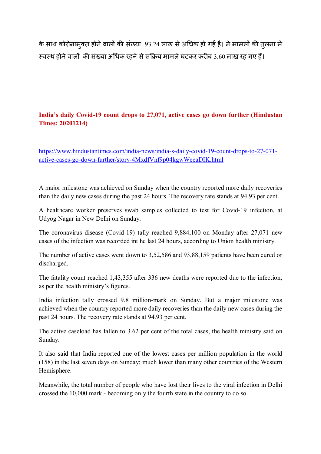के साथ कोरोनामुक्त होने वालों की संख्या 93.24 लाख से अधिक हो गई है। ने मामलों की तुलना में स्वस्थ होने वालों की संख्या अधिक रहने से सक्रिय मामले घटकर करीब 3.60 लाख रह गए हैं।

## **India's daily Covid-19 count drops to 27,071, active cases go down further (Hindustan Times: 20201214)**

https://www.hindustantimes.com/india-news/india-s-daily-covid-19-count-drops-to-27-071 active-cases-go-down-further/story-4MxdfVnf9p04kgwWeeaDIK.html

A major milestone was achieved on Sunday when the country reported more daily recoveries than the daily new cases during the past 24 hours. The recovery rate stands at 94.93 per cent.

A healthcare worker preserves swab samples collected to test for Covid-19 infection, at Udyog Nagar in New Delhi on Sunday.

The coronavirus disease (Covid-19) tally reached 9,884,100 on Monday after 27,071 new cases of the infection was recorded int he last 24 hours, according to Union health ministry.

The number of active cases went down to 3,52,586 and 93,88,159 patients have been cured or discharged.

The fatality count reached 1,43,355 after 336 new deaths were reported due to the infection, as per the health ministry's figures.

India infection tally crossed 9.8 million-mark on Sunday. But a major milestone was achieved when the country reported more daily recoveries than the daily new cases during the past 24 hours. The recovery rate stands at 94.93 per cent.

The active caseload has fallen to 3.62 per cent of the total cases, the health ministry said on Sunday.

It also said that India reported one of the lowest cases per million population in the world (158) in the last seven days on Sunday; much lower than many other countries of the Western Hemisphere.

Meanwhile, the total number of people who have lost their lives to the viral infection in Delhi crossed the 10,000 mark - becoming only the fourth state in the country to do so.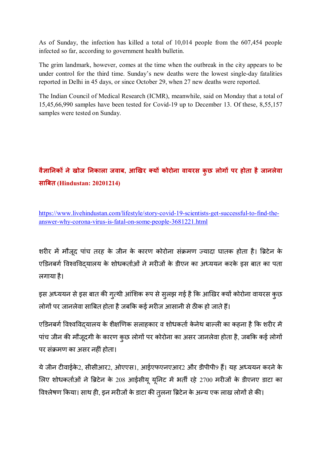As of Sunday, the infection has killed a total of 10,014 people from the 607,454 people infected so far, according to government health bulletin.

The grim landmark, however, comes at the time when the outbreak in the city appears to be under control for the third time. Sunday's new deaths were the lowest single-day fatalities reported in Delhi in 45 days, or since October 29, when 27 new deaths were reported.

The Indian Council of Medical Research (ICMR), meanwhile, said on Monday that a total of 15,45,66,990 samples have been tested for Covid-19 up to December 13. Of these, 8,55,157 samples were tested on Sunday.

# **वैा नक नेखोज नकाला जवाब, आखर य कोरोना वायरस कुछ लोग पर होता हैजानलेवा सा'बत (Hindustan: 20201214)**

https://www.livehindustan.com/lifestyle/story-covid-19-scientists-get-successful-to-find-theanswer-why-corona-virus-is-fatal-on-some-people-3681221.html

शरीर में मौजूद पांच तरह के जीन के कारण कोरोना संक्रमण ज्यादा घातक होता है। ब्रिटेन के एडिनबर्ग विश्वविदयालय के शोधकर्ताओं ने मरीजों के डीएन का अध्ययन करके इस बात का पता लगाया है।

इस अध्ययन से इस बात की ग्*त्थी आंशिक रूप से स्*लझ गई है कि आखिर क्यों कोरोना वायरस कुछ लोगों पर जानलेवा साबित होता है जबकि कई मरीज आसानी से ठीक हो जाते हैं।

एडिनबर्ग विश्वविद्यालय के शैक्षणिक सलाहकार व शोधकर्ता केनेथ बाल्ली का कहना है कि शरीर में पांच जीन की मौजूदगी के कारण कुछ लोगों पर कोरोना का असर जानलेवा होता है, जबकि कई लोगों पर संक्रमण का असर नहीं होता।

ये जीन टीवाईके2, सीसीआर2, ओएएस1, आईएफएनएआर2 और डीपीपी9 हैं। यह अध्ययन करने के लिए शोधकर्ताओं ने ब्रिटेन के 208 आईसीयू यूनिट में भर्ती रहे 2700 मरीजों के डीएनए डाटा का विश्लेषण किया। साथ ही, इन मरीजों के डाटा की तुलना ब्रिटेन के अन्य एक लाख लोगों से की।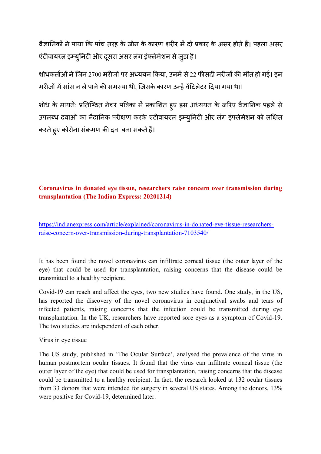वैज्ञानिकों ने पाया कि पांच तरह के जीन के कारण शरीर में दो प्रकार के असर होते हैं। पहला असर एंटीवायरल इम्युनिटी और दुसरा असर लंग इंफ्लेमेशन से जुड़ा है।

शोधकर्ताओं ने जिन 2700 मरीजों पर अध्ययन किया, उनमें से 22 फीसदी मरीजों की मौत हो गई। इन मरीजों में सांस न ले पाने की समस्या थी, जिसके कारण उन्हें वेंटिलेटर दिया गया था।

शोध के मायने: प्रतिष्ठित नेचर पत्रिका में प्रकाशित हुए इस अध्ययन के जरिए वैज्ञानिक पहले से उपलब्ध दवाओं का नैदानिक परीक्षण करके एंटीवायरल इम्युनिटी और लंग इंफ्लेमेशन को लक्षित करते हुए कोरोना संक्रमण की दवा बना सकते हैं।

## **Coronavirus in donated eye tissue, researchers raise concern over transmission during transplantation (The Indian Express: 20201214)**

https://indianexpress.com/article/explained/coronavirus-in-donated-eye-tissue-researchersraise-concern-over-transmission-during-transplantation-7103540/

It has been found the novel coronavirus can infiltrate corneal tissue (the outer layer of the eye) that could be used for transplantation, raising concerns that the disease could be transmitted to a healthy recipient.

Covid-19 can reach and affect the eyes, two new studies have found. One study, in the US, has reported the discovery of the novel coronavirus in conjunctival swabs and tears of infected patients, raising concerns that the infection could be transmitted during eye transplantation. In the UK, researchers have reported sore eyes as a symptom of Covid-19. The two studies are independent of each other.

Virus in eye tissue

The US study, published in 'The Ocular Surface', analysed the prevalence of the virus in human postmortem ocular tissues. It found that the virus can infiltrate corneal tissue (the outer layer of the eye) that could be used for transplantation, raising concerns that the disease could be transmitted to a healthy recipient. In fact, the research looked at 132 ocular tissues from 33 donors that were intended for surgery in several US states. Among the donors, 13% were positive for Covid-19, determined later.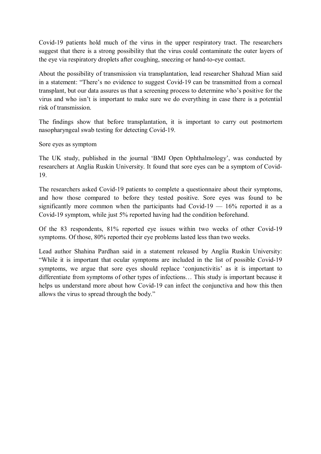Covid-19 patients hold much of the virus in the upper respiratory tract. The researchers suggest that there is a strong possibility that the virus could contaminate the outer layers of the eye via respiratory droplets after coughing, sneezing or hand-to-eye contact.

About the possibility of transmission via transplantation, lead researcher Shahzad Mian said in a statement: "There's no evidence to suggest Covid-19 can be transmitted from a corneal transplant, but our data assures us that a screening process to determine who's positive for the virus and who isn't is important to make sure we do everything in case there is a potential risk of transmission.

The findings show that before transplantation, it is important to carry out postmortem nasopharyngeal swab testing for detecting Covid-19.

Sore eyes as symptom

The UK study, published in the journal 'BMJ Open Ophthalmology', was conducted by researchers at Anglia Ruskin University. It found that sore eyes can be a symptom of Covid-19.

The researchers asked Covid-19 patients to complete a questionnaire about their symptoms, and how those compared to before they tested positive. Sore eyes was found to be significantly more common when the participants had Covid-19  $-$  16% reported it as a Covid-19 symptom, while just 5% reported having had the condition beforehand.

Of the 83 respondents, 81% reported eye issues within two weeks of other Covid-19 symptoms. Of those, 80% reported their eye problems lasted less than two weeks.

Lead author Shahina Pardhan said in a statement released by Anglia Ruskin University: "While it is important that ocular symptoms are included in the list of possible Covid-19 symptoms, we argue that sore eyes should replace 'conjunctivitis' as it is important to differentiate from symptoms of other types of infections… This study is important because it helps us understand more about how Covid-19 can infect the conjunctiva and how this then allows the virus to spread through the body."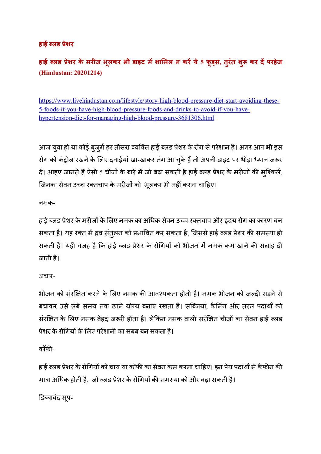## **हाई )लड +ेशर**

# **हाई )लड +ेशर के मरज भूलकर भी डाइट मशा1मल न करये 5 फू3स, तुरंत श4ु कर दपरहेज (Hindustan: 20201214)**

https://www.livehindustan.com/lifestyle/story-high-blood-pressure-diet-start-avoiding-these-5-foods-if-you-have-high-blood-pressure-foods-and-drinks-to-avoid-if-you-havehypertension-diet-for-managing-high-blood-pressure-3681306.html

आज युवा हो या कोई बुजुर्ग हर तीसरा व्यक्ति हाई ब्लड प्रेशर के रोग से परेशान है। अगर आप भी इस रोग को कंट्रोल रखने के लिए दवाईयां खा-खाकर तंग आ चुके हैं तो अपनी डाइट पर थोड़ा ध्यान जरूर दें। आइए जानते हैं ऐसी 5 चीजों के बारे में जो बढ़ा सकती हैं हाई ब्लड प्रेशर के मरीजों की मुश्किलें, जिनका सेवन उच्च रक्तचाप के मरीजों को भूलकर भी नहीं करना चाहिए।

नमक-

हाई ब्लड प्रेशर के मरीजों के लिए नमक का अधिक सेवन उच्च रक्तचाप और हृदय रोग का कारण बन सकता है। यह रक्त में द्रव संतुलन को प्रभावित कर सकता है, जिससे हाई ब्लड प्रेशर की समस्या हो सकती है। यही वजह है कि हाई ब्लड प्रेशर के रोगियों को भोजन में नमक कम खाने की सलाह दी जाती है।

अचार-

भोजन को संरक्षित करने के लिए नमक की आवश्यकता होती है। नमक भोजन को जल्दी सड़ने से बचाकर उसे लंबे समय तक खाने योग्य बनाए रखता है। सब्जियां, कैनिंग और तरल पदार्थों को संरक्षित के लिए नमक बेहद जरूरी होता है। लेकिन नमक वाली सरंक्षित चीजों का सेवन हाई ब्लड प्रेशर के रोगियों के लिए परेशानी का सबब बन सकता है।

कॉफ)-

हाई ब्लड प्रेशर के रोगियों को चाय या कॉफी का सेवन कम करना चाहिए। इन पेय पदार्थों में कैफीन की मात्रा अधिक होती है, जो ब्लड प्रेशर के रोगियों की समस्या को और बढ़ा सकती है।

डिब्बाबंद सूप-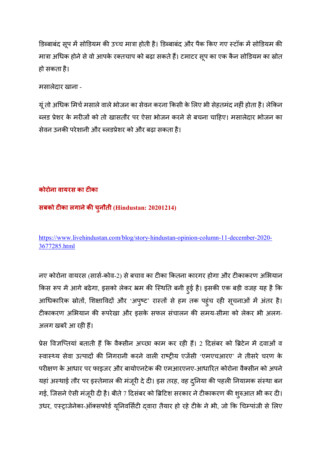डिब्बाबंद सूप में सोडियम की उच्च मात्रा होती है। डिब्बाबंद और पैक किए गए स्टॉक में सोडियम की मात्रा अधिक होने से वो आपके रक्तचाप को बढ़ा सकते हैं। टमाटर सूप का एक कैन सोडियम का स्रोत हो सकता है।

मसालेदार खाना -

यूं तो अधिक मिर्च मसाले वाले भोजन का सेवन करना किसी के लिए भी सेहतमंद नहीं होता है। लेकिन ब्लड प्रेशर के मरीजों को तो खासतौर पर ऐसा भोजन करने से बचना चाहिए। मसालेदार भोजन का सेवन उनकी परेशानी और ब्लडप्रेशर को और बढा सकता है।

## **कोरोना वायरस का टका**

## **सबको टका लगानेक5 चुनौती (Hindustan: 20201214)**

https://www.livehindustan.com/blog/story-hindustan-opinion-column-11-december-2020- 3677285.html

नए कोरोना वायरस (सार्स-कोव-2) से बचाव का टीका कितना कारगर होगा और टीकाकरण अभियान किस रूप में आगे बढेगा, इसको लेकर भ्रम की स्थिति बनी हुई है। इसकी एक बड़ी वजह यह है कि आधिकारिक स्रोतों, शिक्षाविदों और 'अपुष्ट' रास्तों से हम तक पहुंच रही सूचनाओं में अंतर है। टीकाकरण अभियान की रूपरेखा और इसके सफल संचालन की समय-सीमा को लेकर भी अलग-अलग खबरें आ रही हैं।

प्रेस विज्ञप्तियां बताती हैं कि वैक्सीन अच्छा काम कर रही हैं। 2 दिसंबर को ब्रिटेन में दवाओं व स्वास्थ्य सेवा उत्पादों की निगरानी करने वाली राष्ट्रीय एजेंसी 'एमएचआरए' ने तीसरे चरण के परीक्षण के आधार पर फाइजर और बायोएनटेक की एमआरएनए-आधारित कोरोना वैक्सीन को अपने यहां अस्थाई तौर पर इस्तेमाल की मंजूरी दे दी। इस तरह, वह दुनिया की पहली नियामक संस्था बन गई, जिसने ऐसी मंजूरी दी है। बीते 7 दिसंबर को ब्रिटिश सरकार ने टीकाकरण की शुरुआत भी कर दी। उधर, एस्ट्राजेनेका-ऑक्सफोर्ड यूनिवर्सिटी दवारा तैयार हो रहे टीके ने भी, जो कि चिम्पांजी से लिए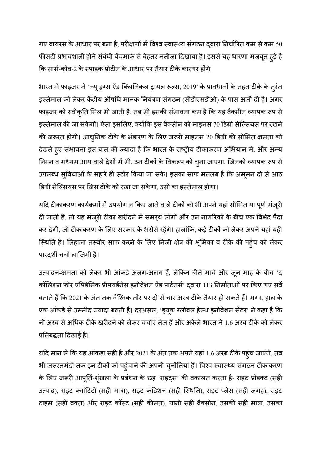गए वायरस के आधार पर बना है, परीक्षणों में विश्व स्वास्थ्य संगठन दवारा निर्धारित कम से कम 50 फीसदी प्रभावशाली होने संबंधी बेंचमार्क से बेहतर नतीजा दिखाया है। इससे यह धारणा मजबूत हुई है कि सार्स-कोव-2 के स्पाइक प्रोटीन के आधार पर तैयार टीके कारगर होंगे।

भारत में फाइजर ने 'न्यू ड्रग्स ऐंड क्लिनिकल ट्रायल रूल्स, 2019' के प्रावधानों के तहत टीके के तुरंत इस्तेमाल को लेकर केंद्रीय औषधि मानक नियंत्रण संगठन (सीडीएसडीओ) के पास अर्जी दी है। अगर फाइजर को स्वीकृति मिल भी जाती है, तब भी इसकी संभावना कम है कि यह वैक्सीन व्यापक रूप से इस्तेमाल की जा सकेगी। ऐसा इसलिए, क्योंकि इस वैक्सीन को माइनस 70 डिग्री सेल्सियस पर रखने की जरूरत होगी। आधुनिक टीके के भंडारण के लिए जरूरी माइनस 20 डिग्री की सीमित क्षमता को देखते हुए संभावना इस बात की ज्यादा है कि भारत के राष्ट्रीय टीकाकरण अभियान में, और अन्य निम्न व मध्यम आय वाले देशों में भी, उन टीकों के विकल्प को चुना जाएगा, जिनको व्यापक रूप से उपलब्ध सुविधाओं के सहारे ही स्टोर किया जा सके। इसका साफ मतलब है कि अमूमन दो से आठ डिग्री सेल्सियस पर जिस टीके को रखा जा सकेगा, उसी का इस्तेमाल होगा।

यदि टीकाकरण कार्यक्रमों में उपयोग न किए जाने वाले टीकों को भी अपने यहां सीमित या पूर्ण मंजूरी दी जाती है, तो यह मंजूरी टीका खरीदने में समर्थ लोगों और उन नागरिकों के बीच एक विभेद पैदा कर देगी, जो टीकाकरण के लिए सरकार के भरोसे रहेंगे। हालांकि, कई टीकों को लेकर अपने यहां यही स्थिति है। लिहाजा तस्वीर साफ करने के लिए निजी क्षेत्र की भूमिका व टीके की पहुंच को लेकर पारदर्शी चर्चा लाजिमी है।

.<br>उत्पादन-क्षमता को लेकर भी आंकडे अलग-अलग हैं, लेकिन बीते मार्च और जून माह के बीच 'द कॉलिशन फॉर एपिडेमिक प्रीपयर्डनेस इनोवेशन ऐंड पार्टनर्स' दवारा 113 निर्माताओं पर किए गए सर्वे बताते हैं कि 2021 के अंत तक वैश्विक तौर पर दो से चार अरब टीके तैयार हो सकते हैं। मगर, हाल के .<br>एक आंकडे से उम्मीद ज्यादा बढ़ती है। दरअसल, 'ड्यूक ग्लोबल हेल्थ इनोवेशन सेंटर' ने कहा है कि नौ अरब से अधिक टीके खरीदने को लेकर चर्चाएं तेज हैं और अकेले भारत ने 1.6 अरब टीके को लेकर प्रतिबद्धता दिखाई है।

यदि मान लें कि यह आंकड़ा सही है और 2021 के अंत तक अपने यहां 1.6 अरब टीके पहुंच जाएंगे, तब भी जरूरतमंदों तक इन टीकों को पहुंचाने की अपनी चुनौतियां हैं। विश्व स्वास्थ्य संगठन टीकाकरण के लिए जरूरी आपूर्ति-शृंखला के प्रबंधन के छह 'राइट्स' की वकालत करता है- राइट प्रोडक्ट (सही उत्पाद), राइट क्वांटिटी (सही मात्रा), राइट कंडिशन (सही स्थिति), राइट प्लेस (सही जगह), राइट टाइम (सही वक्त) और राइट कॉस्ट (सही कीमत), यानी सही वैक्सीन, उसकी सही मात्रा, उसका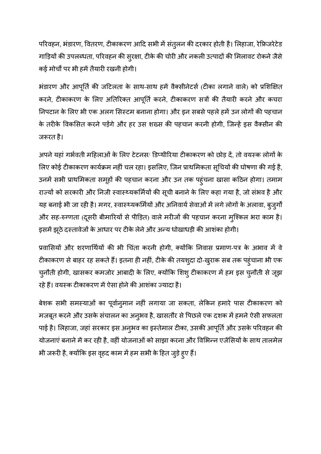परिवहन, भंडारण, वितरण, टीकाकरण आदि सभी में संतुलन की दरकार होती है। लिहाजा, रेफ्रिजरेटेड गाड़ियों की उपलब्धता, परिवहन की सुरक्षा, टीके की चोरी और नकली उत्पादों की मिलावट रोकने जैसे कई मोर्चों पर भी हमें तैयारी रखनी होगी।

भंडारण और आपूर्ति की जटिलता के साथ-साथ हमें वैक्सीनेटर्स (टीका लगाने वाले) को प्रशिक्षित करने, टीकाकरण के लिए अतिरिक्त आपूर्ति करने, टीकाकरण सत्रों की तैयारी करने और कचरा निपटान के लिए भी एक अलग सिस्टम बनाना होगा। और इन सबसे पहले हमें उन लोगों की पहचान के तरीके विकसित करने पड़ेंगे और हर उस शख्स की पहचान करनी होगी, जिन्हें इस वैक्सीन की जरूरत है।

अपने यहां गर्भवती महिलाओं के लिए टेटनस/ डिप्थीरिया टीकाकरण को छोड़ दें, तो वयस्क लोगों के लिए कोई टीकाकरण कार्यक्रम नहीं चल रहा। इसलिए, जिन प्राथमिकता सूचियों की घोषणा की गई है, उनमें सभी प्राथमिकता समूहों की पहचान करना और उन तक पहुंचना खासा कठिन होगा। तमाम राज्यों को सरकारी और निजी स्वास्थ्यकर्मियों की सूची बनाने के लिए कहा गया है, जो संभव है और यह बनाई भी जा रही है। मगर, स्वास्थ्यकर्मियों और अनिवार्य सेवाओं में लगे लोगों के अलावा, बुजुर्गों और सह-रुग्णता (दूसरी बीमारियों से पीड़ित) वाले मरीजों की पहचान करना मुश्किल भरा काम है। इसमें झूठे दस्तावेजों के आधार पर टीके लेने और अन्य धोखाधड़ी की आशंका होगी।

प्रवासियों और शरणार्थियों की भी चिंता करनी होगी, क्योंकि निवास प्रमाण-पत्र के अभाव में वे टीकाकरण से बाहर रह सकते हैं। इतना ही नहीं, टीके की तयशुदा दो-खुराक सब तक पहुंचाना भी एक चुनौती होगी, खासकर कमजोर आबादी के लिए, क्योंकि शिशु टीकाकरण में हम इस चुनौती से जूझ रहे हैं। वयस्क टीकाकरण में ऐसा होने की आशंका ज्यादा है।

बेशक सभी समस्याओं का पूर्वानुमान नहीं लगाया जा सकता, लेकिन हमारे पास टीकाकरण को मजबूत करने और उसके संचालन का अन्3भव है, खासतौर से पिछले एक दशक में हमने ऐसी सफलता पाई है। लिहाजा, जहां सरकार इस अन्अव का इस्तेमाल टीका, उसकी आपूर्ति और उसके परिवहन की योजनाएं बनाने में कर रही है, वहीं योजनाओं को साझा करना और विभिन्न एजेंसियों के साथ तालमेल भी जरूरी है, क्योंकि इस वृहद काम में हम सभी के हित जुड़े हुए हैं।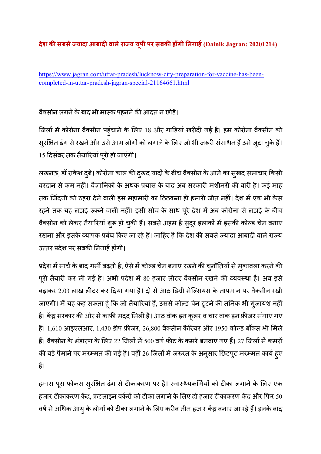## **देश क5 सबसे7यादा आबाद वालेरा7य यूपी पर सबक5 ह
गी नगाह (Dainik Jagran: 20201214)**

https://www.jagran.com/uttar-pradesh/lucknow-city-preparation-for-vaccine-has-beencompleted-in-uttar-pradesh-jagran-special-21164661.html

## वैक्सीन लगने के बाद भी मास्क पहनने की आदत न छोड़ें।

जिलों में कोरोना वैक्सीन पहुंचाने के लिए 18 और गाड़ियां खरीदी गई हैं। हम कोरोना वैक्सीन को सुरक्षित ढंग से रखने और उसे आम लोगों को लगाने के लिए जो भी जरूरी संसाधन हैं उसे जुटा चुके हैं। 15 दिसंबर तक तैयारियां पूरी हो जाएंगी।

लखनऊ, डॉ राकेश दुबे। कोरोना काल की दुखद यादों के बीच वैक्सीन के आने का सुखद समाचार किसी वरदान से कम नहीं। वैज्ञानिकों के अथक प्रयास के बाद अब सरकारी मशीनरी की बारी है। कई माह तक जिंदगी को ठहरा देने वाली इस महामारी का ठिठकना ही हमारी जीत नहीं। देश में एक भी केस रहने तक यह लड़ाई रुकने वाली नहीं। इसी सोच के साथ पूरे देश में अब कोरोना से लड़ाई के बीच वैक्सीन को लेकर तैयारियां शुरू हो चुकी हैं। सबसे अहम है सुदूर इलाकों में इसकी कोल्ड चेन बनाए रखना और इसके व्यापक प्रबंध किए जा रहे हैं। जाहिर है कि देश की सबसे ज्यादा आबादी वाले राज्य उत्तर प्रदेश पर सबकी निगाहें होंगी।

प्रदेश में मार्च के बाद गर्मी बढ़ती है, ऐसे में कोल्ड चेन बनाए रखने की चुनौतियों से मुकाबला करने की पूरी तैयारी कर ली गई है। अभी प्रदेश में 80 हजार लीटर वैक्सीन रखने की व्यवस्था है। अब इसे बढ़ाकर 2.03 लाख लीटर कर दिया गया है। दो से आठ डिग्री सेल्सियस के तापमान पर वैक्सीन रखी जाएगी। मैं यह कह सकता हूं कि जो तैयारियां हैं, उससे कोल्ड चेन टूटने की तनिक भी गुंजायश नहीं है। केंद्र सरकार की ओर से काफी मदद मिली है। आठ वॉक इन कूलर व चार वाक इन फ्रीजर मंगाए गए हैं। 1,610 आइएलआर, 1,430 डीप फ्रीजर, 26,800 वैक्सीन कैरियर और 1950 कोल्ड बॉक्स भी मिले हैं। वैक्सीन के भंडारण के लिए 22 जिलों में 500 वर्ग फीट के कमरे बनवाए गए हैं। 27 जिलों में कमरों की बड़े पैमाने पर मरम्मत की गई है। वहीं 26 जिलों में जरूरत के अनुसार छिटपुट मरम्मत कार्य हुए हैं।

हमारा पूरा फोकस सुरक्षित ढंग से टीकाकरण पर है। स्वास्थ्यकर्मियों को टीका लगाने के लिए एक हजार टीकाकरण केंद्र, फ्रंटलाइन वर्करों को टीका लगाने के लिए दो हजार टीकाकरण केंद्र और फिर 50 वर्ष से अधिक आयु के लोगों को टीका लगाने के लिए करीब तीन हजार केंद्र बनाए जा रहे हैं। इनके बाद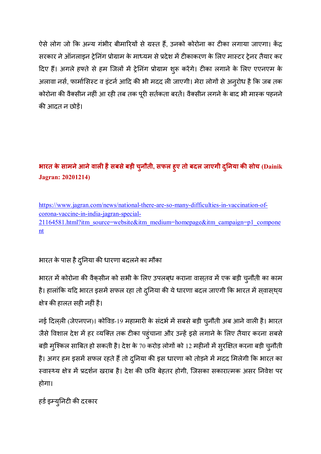ऐसे लोग जो कि अन्य गंभीर बीमारियों से ग्रस्त हैं, उनको कोरोना का टीका लगाया जाएगा। केंद्र सरकार ने ऑनलाइन ट्रेनिंग प्रोग्राम के माध्यम से प्रदेश में टीकाकरण के लिए मास्टर ट्रेनर तैयार कर दिए हैं। अगले हफ्ते से हम जिलों में ट्रेनिंग प्रोग्राम शुरू करेंगे। टीका लगाने के लिए एएनएम के अलावा नर्स, फार्मासिस्ट व इंटर्न आदि की भी मदद ली जाएगी। मेरा लोगों से अनुरोध है कि जब तक कोरोना की वैक्सीन नहीं आ रही तब तक पूरी सर्तकता बरतें। वैक्सीन लगने के बाद भी मास्क पहनने क) आदत न छोड़!।

# **भारत के सामनेआनेवाल हैसबसेबड़ी चुनौती, सफल हुए तो बदल जाएगी द नया ु क5 सोच (Dainik Jagran: 20201214)**

https://www.jagran.com/news/national-there-are-so-many-difficulties-in-vaccination-ofcorona-vaccine-in-india-jagran-special-21164581.html?itm\_source=website&itm\_medium=homepage&itm\_campaign=p1\_compone nt

भारत के पास है दुनिया की धारणा बदलने का मौका

भारत में कोरोना की वैक्सीन को सभी के लिए उपलब्ध कराना वास्तव में एक बड़ी चुनौती का काम है। हालांकि यदि भारत इसमें सफल रहा तो दुनिया की ये धारणा बदल जाएगी कि भारत में सवास्थ्य क्षेत्र की हालत सही नहीं है।

नई दिल्ली (जेएनएन)। कोविड-19 महामारी के संदर्भ में सबसे बड़ी चुनौती अब आने वाली है। भारत जैसे विशाल देश में हर व्यक्ति तक टीका पहुंचाना और उन्हें इसे लगाने के लिए तैयार करना सबसे बड़ी मुश्किल साबित हो सकती है। देश के 70 करोड़ लोगों को 12 महीनों में सुरक्षित करना बड़ी चुनौती है। अगर हम इसमें सफल रहते हैं तो दुनिया की इस धारणा को तोड़ने में मदद मिलेगी कि भारत का स्वास्थ्य क्षेत्र में प्रदर्शन खराब है। देश की छवि बेहतर होगी, जिसका सकारात्मक असर निवेश पर होगा।

हर्ड इम्युनिटी की दरकार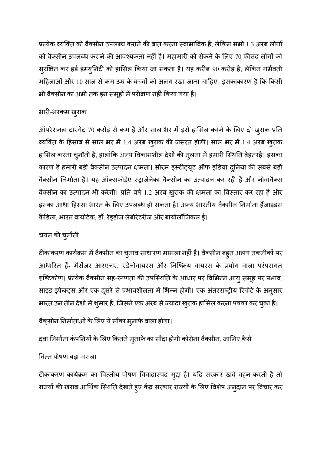प्रत्येक व्यक्ति को वैक्सीन उपलब्ध कराने की बात करना स्वाभाविक है, लेकिन सभी 1.3 अरब लोगों को वैक्सीन उपलब्ध कराने की आवश्यकता नहीं है। महामारी को रोकने के लिए 70 फीसद लोगों को सुरक्षित कर हर्ड इम्युनिटी को हासिल किया जा सकता है। यह करीब 90 करोड़ है, लेकिन गर्भवती महिलाओं और 10 साल से कम उम्र के बच्चों को अलग रखा जाना चाहिए। इसकाकारण है कि किसी भी वैक्सीन का अभी तक इन समूहों में परीक्षण नहीं किया गया है।

## भारी-भरकम ख्राक

ऑपरेशनल टारगेट 70 करोड़ से कम है और साल भर में इसे हासिल करने के लिए दो खुराक प्रति व्यक्ति के हिसाब से साल भर में 1.4 अरब खुराक की जरूरत होगी। साल भर में 1.4 अरब खुराक हासिल करना चुनौती है, हालांकि अन्य विकासशील देशों की तुलना में हमारी स्थिति बेहतरहै। इसका कारण है हमारी बड़ी वैक्सीन उत्पादन क्षमता। सीरम इंस्टीट्यूट ऑफ इंडिया दुनिया की सबसे बड़ी वैक्सीन निर्माता है। यह ऑक्सफोर्डए स्ट्राजेनेका वैक्सीन का उत्पादन कर रही है और नोवावैक्स वैक्सीन का उत्पादन भी करेगी। प्रति वर्ष 1.2 अरब खुराक की क्षमता का विस्तार कर रहा है और इसका आधा हिस्सा भारत के लिए उपलब्ध हो सकता है। अन्य भारतीय वैक्सीन निर्माता हैंजाइडस कैडिला, भारत बायोटेक, डॉ. रेड़डीज लेबोरेटरीज और बायोलॉजिकल ई।

## चयन क) चुनौती

टीकाकरण कार्यक्रम में वैक्सीन का चुनाव साधारण मामला नहीं है। वैक्सीन बह्त अलग तकनीकों पर आधारित हैं- मैसेंजर आरएनए, एडेनोवायरस और निष्क्रिय वायरस के प्रयोग वाला परंपरागत हष्टिकोण। प्रत्येक वैक्सीन सह-रुग्णता की उपस्थिति के आधार पर विभिन्न आयु समूह पर प्रभाव, साइड इफेक्ट्स और एक दूसरे से प्रभावशीलता में भिन्न होगी। एक अंतरराष्ट्रीय रिपोर्ट के अनुसार भारत उन तीन देशों में शुमार हैं, जिसने एक अरब से ज्यादा खुराक हासिल करना पक्का कर चुका है।

# वैक्सीन निर्माताओं के लिए ये मौका मुनाफे वाला होगा।

दवा निर्माता कंपनियों के लिए कितने मुनाफे का सौदा होगी कोरोना वैक्सीन, जानिए कैसे

## वित्त पोषण बड़ा मसला

टीकाकरण कार्यक्रम का वित्तीय पोषण विवादास्पद मुद्दा है। यदि सरकार खर्च वहन करती है तो राज्यों की खराब आर्थिक स्थिति देखते हुए केंद्र सरकार राज्यों के लिए विशेष अनुदान पर विचार कर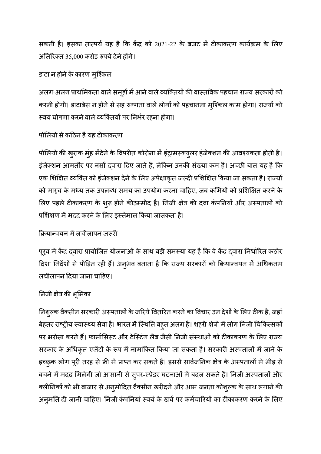सकती है। इसका तात्पर्य यह है कि केंद्र को 2021-22 के बजट में टीकाकरण कार्यक्रम के लिए  $35,000$  करोड़ रुपये देने होंगे।

## डाटा न होने के कारण मुश्किल

अलग-अलग प्राथमिकता वाले समूहों में आने वाले व्यक्तियों की वास्तविक पहचान राज्य सरकारों को करनी होगी। डाटाबेस न होने से सह रुग्णता वाले लोगों को पहचानना मुश्किल काम होगा। राज्यों को स्वयं घोषणा करने वाले व्यक्तियों पर निर्भर रहना होगा।

## पोलियो से कठिन है यह टीकाकरण

पोलियो की खुराक मुंह मेंदेने के विपरीत कोरोना में इंट्रामस्क्युलर इंजेक्शन की आवश्यकता होती है। इंजेक्शन आमतौर पर नर्सों द्वारा दिए जाते हैं, लेकिन उनकी संख्या कम है। अच्छी बात यह है कि एक शिक्षित व्यक्ति को इंजेक्शन देने के लिए अपेक्षाकृत जल्दी प्रशिक्षित किया जा सकता है। राज्यों को मार्च के मध्य तक उपलब्ध समय का उपयोग करना चाहिए, जब कर्मियों को प्रशिक्षित करने के लिए पहले टीकाकरण के शुरू होने कीउम्मीद है। निजी क्षेत्र की दवा कंपनियों और अस्पतालों को प्रशिक्षण में मदद करने के लिए इस्तेमाल किया जासकता है।

## क्रियान्वयन में लचीलापन जरूरी

पूर्व में केंद्र द्वारा प्रायोजित योजनाओं के साथ बड़ी समस्या यह है कि वे केंद्र द्वारा निर्धारित कठोर दिशा निर्देशों से पीड़ित रही हैं। अनुभव बताता है कि राज्य सरकारों को क्रियान्वयन में अधिकतम लचीलापन दया जाना चाहए।

## निजी क्षेत्र की भूमिका

निश्ल्क वैक्सीन सरकारी अस्पतालों के जरिये वितरित करने का विचार उन देशों के लिए ठीक है, जहां बेहतर राष्ट्रीय स्वास्थ्य सेवा है। भारत में स्थिति बहुत अलग है। शहरी क्षेत्रों में लोग निजी चिकित्सकों पर भरोसा करते हैं। फार्मासिस्ट और टेस्टिंग लैब जैसी निजी संस्थाओं को टीकाकरण के लिए राज्य सरकार के अधिकृत एजेंटों के रूप में नामांकित किया जा सकता है। सरकारी अस्पतालों में जाने के इच्छुक लोग पूरी तरह से फ्री में प्राप्त कर सकते हैं। इससे सार्वजनिक क्षेत्र के अस्पतालों में भीड़ से बचने में मदद मिलेगी जो आसानी से सुपर-स्प्रेडर घटनाओं में बदल सकते हैं। निजी अस्पतालों और क्लीनिकों को भी बाजार से अनुमोदित वैक्सीन खरीदने और आम जनता कोश्ल्क के साथ लगाने की अनुमति दी जानी चाहिए। निजी कंपनियां स्वयं के खर्च पर कर्मचारियों का टीकाकरण करने के लिए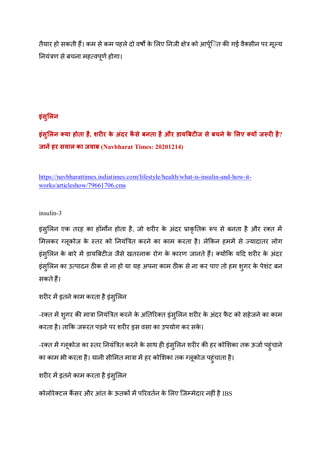तैयार हो सकती हैं। कम से कम पहले दो वर्षों के लिए निजी क्षेत्र को आर्पूित की गई वैक्सीन पर मूल्य नियंत्रण से बचना महत्वपूर्ण होगा।

## **इंसु1लन**

**इंसु1लन या होता है, शरर के अंदर कै सेबनता हैऔर डाय'बटज सेबचनेके 1लए य ज4र है? जानहर सवाल का जवाब (Navbharat Times: 20201214)** 

https://navbharattimes.indiatimes.com/lifestyle/health/what-is-insulin-and-how-itworks/articleshow/79661706.cms

insulin-3

इंसुलिन एक तरह का हॉर्मोन होता है, जो शरीर के अंदर प्राकृतिक रूप से बनता है और रक्त में मिलकर ग्लूकोज के स्तर को नियंत्रित करने का काम करता है। लेकिन हममें से ज्यादातर लोग इंसुलिन के बारे में डायबिटीज जैसे खतरनाक रोग के कारण जानते हैं। क्योंकि यदि शरीर के अंदर इंसुलिन का उत्पादन ठीक से ना हो या यह अपना काम ठीक से ना कर पाए तो हम शुगर के पेशंट बन सकते हैं।

```
शरीर में इतने काम करता है इंस्लिन
```
-रक्त में शूगर की मात्रा नियंत्रित करने के अतिरिक्त इंसुलिन शरीर के अंदर फैट को सहेजने का काम करता है। ताकि जरूरत पड़ने पर शरीर इस वसा का उपयोग कर सके।

-रक्त में ग्लूकोज का स्तर नियंत्रित करने के साथ ही इंस्**लिन शरीर की हर कोशिका तक ऊर्जा पहुंचा**ने का काम भी करता है। यानी सीमित मात्रा में हर कोशिका तक ग्लूकोज पहुंचाता है।

```
शरीर में इतने काम करता है इंसुलिन
```
कोलोरेक्टल कैंसर और आंत के ऊतकों में परिवर्तन के लिए जिम्मेदार नहीं है IBS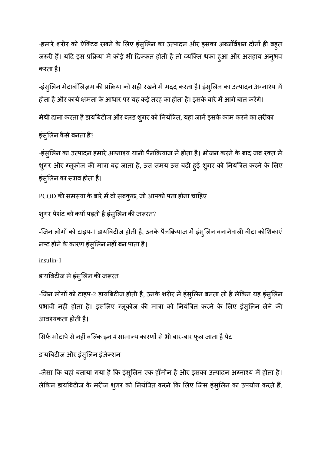-हमारे शरीर को ऐक्टिव रखने के लिए इंसुलिन का उत्पादन और इसका अब्जॉर्वशन दोनों ही बहुत जरूरी हैं। यदि इस प्रक्रिया में कोई भी दिक्कत होती है तो व्यक्ति थका हुआ और असहाय अनुभव करता है।

-इंसुलिन मेटाबॉलिज़म की प्रक्रिया को सही रखने में मदद करता है। इंसुलिन का उत्पादन अग्नाश्य में होता है और कार्य क्षमता के आधार पर यह कई तरह का होता है। इसके बारे में आगे बात करेंगे।

मेथी दाना करता है डायबिटीज और ब्लड श्गर को नियंत्रित, यहां जानें इसके काम करने का तरीका

इंसुलिन कैसे बनता है?

-इंसुलिन का उत्पादन हमारे अग्नाश्य यानी पैनक्रियाज में होता है। भोजन करने के बाद जब रक्त में शुगर और ग्लूकोज की मात्रा बढ़ जाता है, उस समय उस बढ़ी हुई शुगर को नियंत्रित करने के लिए इंस्लिन का स्त्राव होता है।

PCOD की समस्या के बारे में वो सबकुछ, जो आपको पता होना चाहिए

```
श्गर पेशंट को क्यों पड़ती है इंस्लिन की जरूरत?
```
-जिन लोगों को टाइप-1 डायबिटीज होती है, उनके पैनक्रियाज में इंसुलिन बनानेवाली बीटा कोशिकाएं नष्ट होने के कारण इंसुलिन नहीं बन पाता है।

insulin-1

```
डायबिटीज में इंस्लिन की जरूरत
```
-जिन लोगों को टाइप-2 डायबिटीज होती है, उनके शरीर में इंसुलिन बनता तो है लेकिन यह इंसुलिन प्रभावी नहीं होता है। इसलिए ग्लूकोज की मात्रा को नियंत्रित करने के लिए इंस्*लिन लेने की* आवश्यकता होती है।

सिर्फ मोटापे से नहीं बल्कि इन 4 सामान्य कारणों से भी बार-बार फूल जाता है पेट

डायबिटीज और इंसुलिन इंजेक्शन

-जैसा कि यहां बताया गया है कि इंस्लिन एक हॉर्मोन है और इसका उत्पादन अग्नाश्य में होता है। लेकिन डायबिटीज के मरीज शुगर को नियंत्रित करने कि लिए जिस इंसुलिन का उपयोग करते हैं,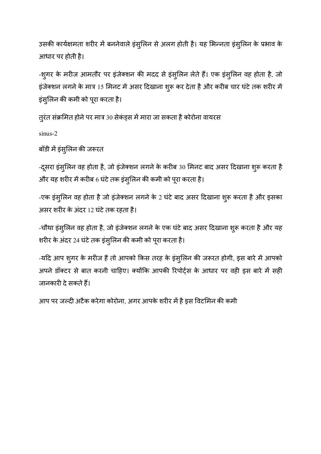उसकी कार्यक्षमता शरीर में बननेवाले इंसुलिन से अलग होती है। यह भिन्नता इंसुलिन के प्रभाव के आधार पर होती है।

-शुगर के मरीज आमतौर पर इंजेक्शन की मदद से इंसुलिन लेते हैं। एक इंसुलिन वह होता है, जो इंजेक्शन लगने के मात्र 15 मिनट में असर दिखाना शुरू कर देता है और करीब चार घंटे तक शरीर में इंस्**लिन की कमी को पूरा करता है।** 

तूरंत संक्रमित होने पर मात्र 30 सेकंड्स में मारा जा सकता है कोरोना वायरस

sinus-2

बॉडी में इंस्लिन की जरूरत

-दूसरा इंसुलिन वह होता है, जो इंजेक्शन लगने के करीब 30 मिनट बाद असर दिखाना शुरू करता है और यह शरीर में करीब 6 घंटे तक इंस्**लिन की कमी को पूरा करता है**।

-एक इंसुलिन वह होता है जो इंजेक्शन लगने के 2 घंटे बाद असर दिखाना शुरू करता है और इसका असर शरीर के अंदर 12 घंटे तक रहता है।

-चौथा इंसुलिन वह होता है, जो इंजेक्शन लगने के एक घंटे बाद असर दिखाना शुरू करता है और यह शरीर के अंदर 24 घंटे तक इंसुलिन की कमी को पूरा करता है।

-यदि आप शुगर के मरीज हैं तो आपको किस तरह के इंसुलिन की जरूरत होगी, इस बारे में आपको अपने डॉक्टर से बात करनी चाहिए। क्योंकि आपकी रिपोर्ट्स के आधार पर वही इस बारे में सही जानकारी दे सकते हैं।

आप पर जल्दी अटैक करेगा कोरोना, अगर आपके शरीर में है इस विटमिन की कमी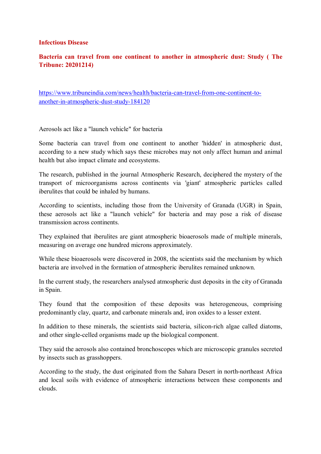#### **Infectious Disease**

### **Bacteria can travel from one continent to another in atmospheric dust: Study ( The Tribune: 20201214)**

https://www.tribuneindia.com/news/health/bacteria-can-travel-from-one-continent-toanother-in-atmospheric-dust-study-184120

Aerosols act like a "launch vehicle" for bacteria

Some bacteria can travel from one continent to another 'hidden' in atmospheric dust, according to a new study which says these microbes may not only affect human and animal health but also impact climate and ecosystems.

The research, published in the journal Atmospheric Research, deciphered the mystery of the transport of microorganisms across continents via 'giant' atmospheric particles called iberulites that could be inhaled by humans.

According to scientists, including those from the University of Granada (UGR) in Spain, these aerosols act like a "launch vehicle" for bacteria and may pose a risk of disease transmission across continents.

They explained that iberulites are giant atmospheric bioaerosols made of multiple minerals, measuring on average one hundred microns approximately.

While these bioaerosols were discovered in 2008, the scientists said the mechanism by which bacteria are involved in the formation of atmospheric iberulites remained unknown.

In the current study, the researchers analysed atmospheric dust deposits in the city of Granada in Spain.

They found that the composition of these deposits was heterogeneous, comprising predominantly clay, quartz, and carbonate minerals and, iron oxides to a lesser extent.

In addition to these minerals, the scientists said bacteria, silicon-rich algae called diatoms, and other single-celled organisms made up the biological component.

They said the aerosols also contained bronchoscopes which are microscopic granules secreted by insects such as grasshoppers.

According to the study, the dust originated from the Sahara Desert in north-northeast Africa and local soils with evidence of atmospheric interactions between these components and clouds.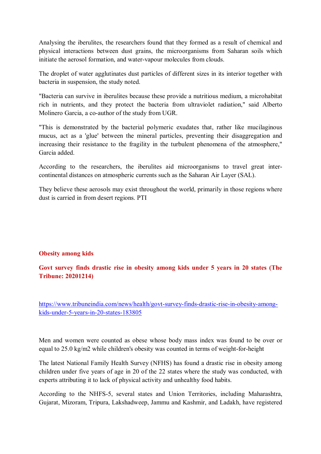Analysing the iberulites, the researchers found that they formed as a result of chemical and physical interactions between dust grains, the microorganisms from Saharan soils which initiate the aerosol formation, and water-vapour molecules from clouds.

The droplet of water agglutinates dust particles of different sizes in its interior together with bacteria in suspension, the study noted.

"Bacteria can survive in iberulites because these provide a nutritious medium, a microhabitat rich in nutrients, and they protect the bacteria from ultraviolet radiation," said Alberto Molinero Garcia, a co-author of the study from UGR.

"This is demonstrated by the bacterial polymeric exudates that, rather like mucilaginous mucus, act as a 'glue' between the mineral particles, preventing their disaggregation and increasing their resistance to the fragility in the turbulent phenomena of the atmosphere," Garcia added.

According to the researchers, the iberulites aid microorganisms to travel great intercontinental distances on atmospheric currents such as the Saharan Air Layer (SAL).

They believe these aerosols may exist throughout the world, primarily in those regions where dust is carried in from desert regions. PTI

#### **Obesity among kids**

**Govt survey finds drastic rise in obesity among kids under 5 years in 20 states (The Tribune: 20201214)** 

https://www.tribuneindia.com/news/health/govt-survey-finds-drastic-rise-in-obesity-amongkids-under-5-years-in-20-states-183805

Men and women were counted as obese whose body mass index was found to be over or equal to 25.0 kg/m2 while children's obesity was counted in terms of weight-for-height

The latest National Family Health Survey (NFHS) has found a drastic rise in obesity among children under five years of age in 20 of the 22 states where the study was conducted, with experts attributing it to lack of physical activity and unhealthy food habits.

According to the NHFS-5, several states and Union Territories, including Maharashtra, Gujarat, Mizoram, Tripura, Lakshadweep, Jammu and Kashmir, and Ladakh, have registered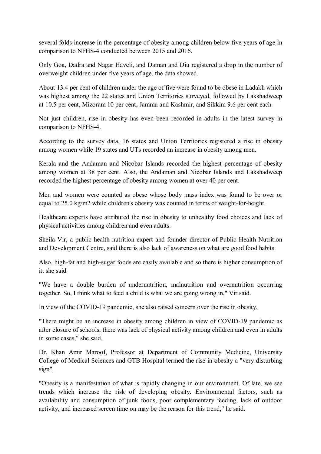several folds increase in the percentage of obesity among children below five years of age in comparison to NFHS-4 conducted between 2015 and 2016.

Only Goa, Dadra and Nagar Haveli, and Daman and Diu registered a drop in the number of overweight children under five years of age, the data showed.

About 13.4 per cent of children under the age of five were found to be obese in Ladakh which was highest among the 22 states and Union Territories surveyed, followed by Lakshadweep at 10.5 per cent, Mizoram 10 per cent, Jammu and Kashmir, and Sikkim 9.6 per cent each.

Not just children, rise in obesity has even been recorded in adults in the latest survey in comparison to NFHS-4.

According to the survey data, 16 states and Union Territories registered a rise in obesity among women while 19 states and UTs recorded an increase in obesity among men.

Kerala and the Andaman and Nicobar Islands recorded the highest percentage of obesity among women at 38 per cent. Also, the Andaman and Nicobar Islands and Lakshadweep recorded the highest percentage of obesity among women at over 40 per cent.

Men and women were counted as obese whose body mass index was found to be over or equal to 25.0 kg/m2 while children's obesity was counted in terms of weight-for-height.

Healthcare experts have attributed the rise in obesity to unhealthy food choices and lack of physical activities among children and even adults.

Sheila Vir, a public health nutrition expert and founder director of Public Health Nutrition and Development Centre, said there is also lack of awareness on what are good food habits.

Also, high-fat and high-sugar foods are easily available and so there is higher consumption of it, she said.

"We have a double burden of undernutrition, malnutrition and overnutrition occurring together. So, I think what to feed a child is what we are going wrong in," Vir said.

In view of the COVID-19 pandemic, she also raised concern over the rise in obesity.

"There might be an increase in obesity among children in view of COVID-19 pandemic as after closure of schools, there was lack of physical activity among children and even in adults in some cases," she said.

Dr. Khan Amir Maroof, Professor at Department of Community Medicine, University College of Medical Sciences and GTB Hospital termed the rise in obesity a "very disturbing sign".

"Obesity is a manifestation of what is rapidly changing in our environment. Of late, we see trends which increase the risk of developing obesity. Environmental factors, such as availability and consumption of junk foods, poor complementary feeding, lack of outdoor activity, and increased screen time on may be the reason for this trend," he said.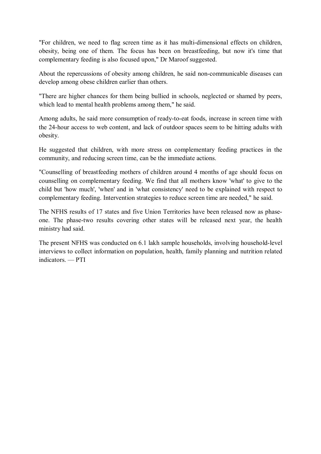"For children, we need to flag screen time as it has multi-dimensional effects on children, obesity, being one of them. The focus has been on breastfeeding, but now it's time that complementary feeding is also focused upon," Dr Maroof suggested.

About the repercussions of obesity among children, he said non-communicable diseases can develop among obese children earlier than others.

"There are higher chances for them being bullied in schools, neglected or shamed by peers, which lead to mental health problems among them," he said.

Among adults, he said more consumption of ready-to-eat foods, increase in screen time with the 24-hour access to web content, and lack of outdoor spaces seem to be hitting adults with obesity.

He suggested that children, with more stress on complementary feeding practices in the community, and reducing screen time, can be the immediate actions.

"Counselling of breastfeeding mothers of children around 4 months of age should focus on counselling on complementary feeding. We find that all mothers know 'what' to give to the child but 'how much', 'when' and in 'what consistency' need to be explained with respect to complementary feeding. Intervention strategies to reduce screen time are needed," he said.

The NFHS results of 17 states and five Union Territories have been released now as phaseone. The phase-two results covering other states will be released next year, the health ministry had said.

The present NFHS was conducted on 6.1 lakh sample households, involving household-level interviews to collect information on population, health, family planning and nutrition related indicators. — PTI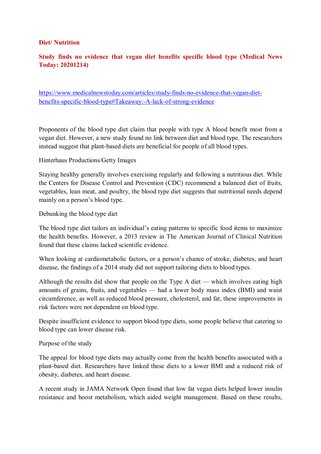#### **Diet/ Nutrition**

## **Study finds no evidence that vegan diet benefits specific blood type (Medical News Today: 20201214)**

https://www.medicalnewstoday.com/articles/study-finds-no-evidence-that-vegan-dietbenefits-specific-blood-type#Takeaway:-A-lack-of-strong-evidence

Proponents of the blood type diet claim that people with type A blood benefit most from a vegan diet. However, a new study found no link between diet and blood type. The researchers instead suggest that plant-based diets are beneficial for people of all blood types.

Hinterhaus Productions/Getty Images

Staying healthy generally involves exercising regularly and following a nutritious diet. While the Centers for Disease Control and Prevention (CDC) recommend a balanced diet of fruits, vegetables, lean meat, and poultry, the blood type diet suggests that nutritional needs depend mainly on a person's blood type.

Debunking the blood type diet

The blood type diet tailors an individual's eating patterns to specific food items to maximize the health benefits. However, a 2013 review in The American Journal of Clinical Nutrition found that these claims lacked scientific evidence.

When looking at cardiometabolic factors, or a person's chance of stroke, diabetes, and heart disease, the findings of a 2014 study did not support tailoring diets to blood types.

Although the results did show that people on the Type A diet — which involves eating high amounts of grains, fruits, and vegetables — had a lower body mass index (BMI) and waist circumference, as well as reduced blood pressure, cholesterol, and fat, these improvements in risk factors were not dependent on blood type.

Despite insufficient evidence to support blood type diets, some people believe that catering to blood type can lower disease risk.

#### Purpose of the study

The appeal for blood type diets may actually come from the health benefits associated with a plant-based diet. Researchers have linked these diets to a lower BMI and a reduced risk of obesity, diabetes, and heart disease.

A recent study in JAMA Network Open found that low fat vegan diets helped lower insulin resistance and boost metabolism, which aided weight management. Based on these results,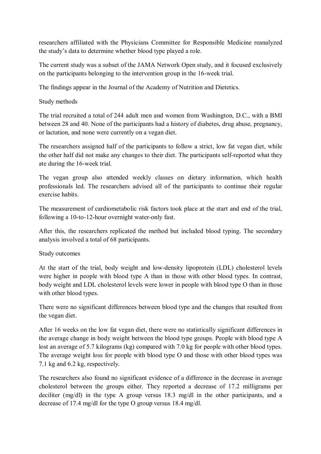researchers affiliated with the Physicians Committee for Responsible Medicine reanalyzed the study's data to determine whether blood type played a role.

The current study was a subset of the JAMA Network Open study, and it focused exclusively on the participants belonging to the intervention group in the 16-week trial.

The findings appear in the Journal of the Academy of Nutrition and Dietetics.

## Study methods

The trial recruited a total of 244 adult men and women from Washington, D.C., with a BMI between 28 and 40. None of the participants had a history of diabetes, drug abuse, pregnancy, or lactation, and none were currently on a vegan diet.

The researchers assigned half of the participants to follow a strict, low fat vegan diet, while the other half did not make any changes to their diet. The participants self-reported what they ate during the 16-week trial.

The vegan group also attended weekly classes on dietary information, which health professionals led. The researchers advised all of the participants to continue their regular exercise habits.

The measurement of cardiometabolic risk factors took place at the start and end of the trial, following a 10-to-12-hour overnight water-only fast.

After this, the researchers replicated the method but included blood typing. The secondary analysis involved a total of 68 participants.

#### Study outcomes

At the start of the trial, body weight and low-density lipoprotein (LDL) cholesterol levels were higher in people with blood type A than in those with other blood types. In contrast, body weight and LDL cholesterol levels were lower in people with blood type O than in those with other blood types.

There were no significant differences between blood type and the changes that resulted from the vegan diet.

After 16 weeks on the low fat vegan diet, there were no statistically significant differences in the average change in body weight between the blood type groups. People with blood type A lost an average of 5.7 kilograms (kg) compared with 7.0 kg for people with other blood types. The average weight loss for people with blood type O and those with other blood types was 7.1 kg and 6.2 kg, respectively.

The researchers also found no significant evidence of a difference in the decrease in average cholesterol between the groups either. They reported a decrease of 17.2 milligrams per deciliter (mg/dl) in the type A group versus 18.3 mg/dl in the other participants, and a decrease of 17.4 mg/dl for the type O group versus 18.4 mg/dl.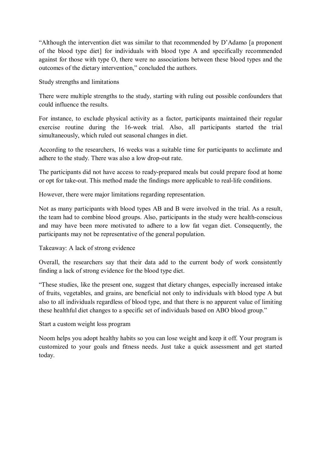"Although the intervention diet was similar to that recommended by D'Adamo [a proponent of the blood type diet] for individuals with blood type A and specifically recommended against for those with type O, there were no associations between these blood types and the outcomes of the dietary intervention," concluded the authors.

Study strengths and limitations

There were multiple strengths to the study, starting with ruling out possible confounders that could influence the results.

For instance, to exclude physical activity as a factor, participants maintained their regular exercise routine during the 16-week trial. Also, all participants started the trial simultaneously, which ruled out seasonal changes in diet.

According to the researchers, 16 weeks was a suitable time for participants to acclimate and adhere to the study. There was also a low drop-out rate.

The participants did not have access to ready-prepared meals but could prepare food at home or opt for take-out. This method made the findings more applicable to real-life conditions.

However, there were major limitations regarding representation.

Not as many participants with blood types AB and B were involved in the trial. As a result, the team had to combine blood groups. Also, participants in the study were health-conscious and may have been more motivated to adhere to a low fat vegan diet. Consequently, the participants may not be representative of the general population.

Takeaway: A lack of strong evidence

Overall, the researchers say that their data add to the current body of work consistently finding a lack of strong evidence for the blood type diet.

"These studies, like the present one, suggest that dietary changes, especially increased intake of fruits, vegetables, and grains, are beneficial not only to individuals with blood type A but also to all individuals regardless of blood type, and that there is no apparent value of limiting these healthful diet changes to a specific set of individuals based on ABO blood group."

Start a custom weight loss program

Noom helps you adopt healthy habits so you can lose weight and keep it off. Your program is customized to your goals and fitness needs. Just take a quick assessment and get started today.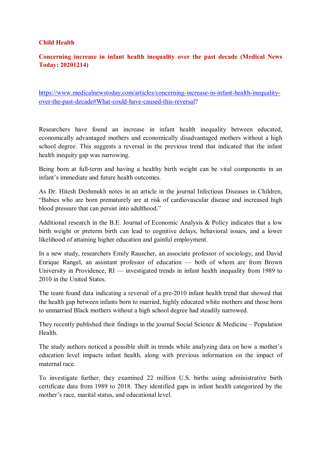#### **Child Health**

## **Concerning increase in infant health inequality over the past decade (Medical News Today: 20201214)**

https://www.medicalnewstoday.com/articles/concerning-increase-in-infant-health-inequalityover-the-past-decade#What-could-have-caused-this-reversal?

Researchers have found an increase in infant health inequality between educated, economically advantaged mothers and economically disadvantaged mothers without a high school degree. This suggests a reversal in the previous trend that indicated that the infant health inequity gap was narrowing.

Being born at full-term and having a healthy birth weight can be vital components in an infant's immediate and future health outcomes.

As Dr. Hitesh Deshmukh notes in an article in the journal Infectious Diseases in Children, "Babies who are born prematurely are at risk of cardiovascular disease and increased high blood pressure that can persist into adulthood."

Additional research in the B.E. Journal of Economic Analysis & Policy indicates that a low birth weight or preterm birth can lead to cognitive delays, behavioral issues, and a lower likelihood of attaining higher education and gainful employment.

In a new study, researchers Emily Rauscher, an associate professor of sociology, and David Enrique Rangel, an assistant professor of education — both of whom are from Brown University in Providence, RI — investigated trends in infant health inequality from 1989 to 2010 in the United States.

The team found data indicating a reversal of a pre-2010 infant health trend that showed that the health gap between infants born to married, highly educated white mothers and those born to unmarried Black mothers without a high school degree had steadily narrowed.

They recently published their findings in the journal Social Science  $\&$  Medicine – Population **Health** 

The study authors noticed a possible shift in trends while analyzing data on how a mother's education level impacts infant health, along with previous information on the impact of maternal race.

To investigate further, they examined 22 million U.S. births using administrative birth certificate data from 1989 to 2018. They identified gaps in infant health categorized by the mother's race, marital status, and educational level.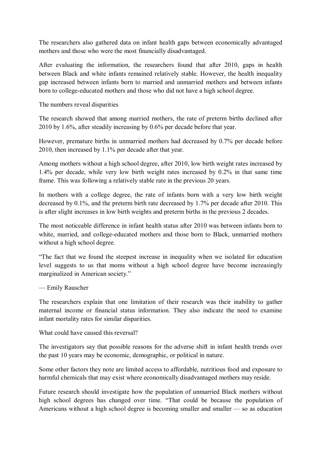The researchers also gathered data on infant health gaps between economically advantaged mothers and those who were the most financially disadvantaged.

After evaluating the information, the researchers found that after 2010, gaps in health between Black and white infants remained relatively stable. However, the health inequality gap increased between infants born to married and unmarried mothers and between infants born to college-educated mothers and those who did not have a high school degree.

The numbers reveal disparities

The research showed that among married mothers, the rate of preterm births declined after 2010 by 1.6%, after steadily increasing by 0.6% per decade before that year.

However, premature births in unmarried mothers had decreased by 0.7% per decade before 2010, then increased by 1.1% per decade after that year.

Among mothers without a high school degree, after 2010, low birth weight rates increased by 1.4% per decade, while very low birth weight rates increased by 0.2% in that same time frame. This was following a relatively stable rate in the previous 20 years.

In mothers with a college degree, the rate of infants born with a very low birth weight decreased by 0.1%, and the preterm birth rate decreased by 1.7% per decade after 2010. This is after slight increases in low birth weights and preterm births in the previous 2 decades.

The most noticeable difference in infant health status after 2010 was between infants born to white, married, and college-educated mothers and those born to Black, unmarried mothers without a high school degree.

"The fact that we found the steepest increase in inequality when we isolated for education level suggests to us that moms without a high school degree have become increasingly marginalized in American society."

— Emily Rauscher

The researchers explain that one limitation of their research was their inability to gather maternal income or financial status information. They also indicate the need to examine infant mortality rates for similar disparities.

What could have caused this reversal?

The investigators say that possible reasons for the adverse shift in infant health trends over the past 10 years may be economic, demographic, or political in nature.

Some other factors they note are limited access to affordable, nutritious food and exposure to harmful chemicals that may exist where economically disadvantaged mothers may reside.

Future research should investigate how the population of unmarried Black mothers without high school degrees has changed over time. "That could be because the population of Americans without a high school degree is becoming smaller and smaller — so as education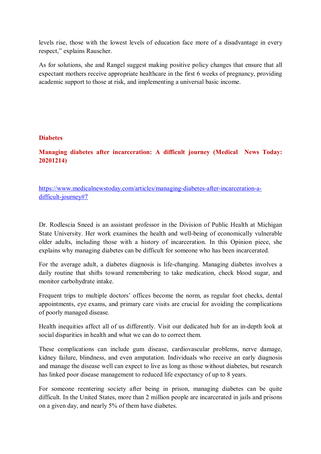levels rise, those with the lowest levels of education face more of a disadvantage in every respect," explains Rauscher.

As for solutions, she and Rangel suggest making positive policy changes that ensure that all expectant mothers receive appropriate healthcare in the first 6 weeks of pregnancy, providing academic support to those at risk, and implementing a universal basic income.

#### **Diabetes**

**Managing diabetes after incarceration: A difficult journey (Medical News Today: 20201214)** 

https://www.medicalnewstoday.com/articles/managing-diabetes-after-incarceration-adifficult-journey#7

Dr. Rodlescia Sneed is an assistant professor in the Division of Public Health at Michigan State University. Her work examines the health and well-being of economically vulnerable older adults, including those with a history of incarceration. In this Opinion piece, she explains why managing diabetes can be difficult for someone who has been incarcerated.

For the average adult, a diabetes diagnosis is life-changing. Managing diabetes involves a daily routine that shifts toward remembering to take medication, check blood sugar, and monitor carbohydrate intake.

Frequent trips to multiple doctors' offices become the norm, as regular foot checks, dental appointments, eye exams, and primary care visits are crucial for avoiding the complications of poorly managed disease.

Health inequities affect all of us differently. Visit our dedicated hub for an in-depth look at social disparities in health and what we can do to correct them.

These complications can include gum disease, cardiovascular problems, nerve damage, kidney failure, blindness, and even amputation. Individuals who receive an early diagnosis and manage the disease well can expect to live as long as those without diabetes, but research has linked poor disease management to reduced life expectancy of up to 8 years.

For someone reentering society after being in prison, managing diabetes can be quite difficult. In the United States, more than 2 million people are incarcerated in jails and prisons on a given day, and nearly 5% of them have diabetes.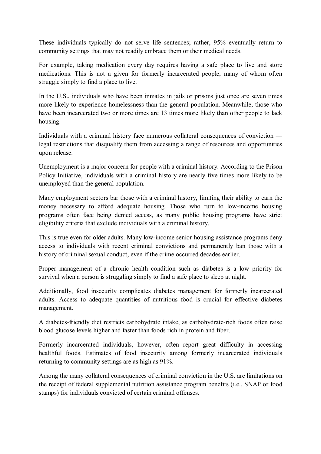These individuals typically do not serve life sentences; rather, 95% eventually return to community settings that may not readily embrace them or their medical needs.

For example, taking medication every day requires having a safe place to live and store medications. This is not a given for formerly incarcerated people, many of whom often struggle simply to find a place to live.

In the U.S., individuals who have been inmates in jails or prisons just once are seven times more likely to experience homelessness than the general population. Meanwhile, those who have been incarcerated two or more times are 13 times more likely than other people to lack housing.

Individuals with a criminal history face numerous collateral consequences of conviction legal restrictions that disqualify them from accessing a range of resources and opportunities upon release.

Unemployment is a major concern for people with a criminal history. According to the Prison Policy Initiative, individuals with a criminal history are nearly five times more likely to be unemployed than the general population.

Many employment sectors bar those with a criminal history, limiting their ability to earn the money necessary to afford adequate housing. Those who turn to low-income housing programs often face being denied access, as many public housing programs have strict eligibility criteria that exclude individuals with a criminal history.

This is true even for older adults. Many low-income senior housing assistance programs deny access to individuals with recent criminal convictions and permanently ban those with a history of criminal sexual conduct, even if the crime occurred decades earlier.

Proper management of a chronic health condition such as diabetes is a low priority for survival when a person is struggling simply to find a safe place to sleep at night.

Additionally, food insecurity complicates diabetes management for formerly incarcerated adults. Access to adequate quantities of nutritious food is crucial for effective diabetes management.

A diabetes-friendly diet restricts carbohydrate intake, as carbohydrate-rich foods often raise blood glucose levels higher and faster than foods rich in protein and fiber.

Formerly incarcerated individuals, however, often report great difficulty in accessing healthful foods. Estimates of food insecurity among formerly incarcerated individuals returning to community settings are as high as 91%.

Among the many collateral consequences of criminal conviction in the U.S. are limitations on the receipt of federal supplemental nutrition assistance program benefits (i.e., SNAP or food stamps) for individuals convicted of certain criminal offenses.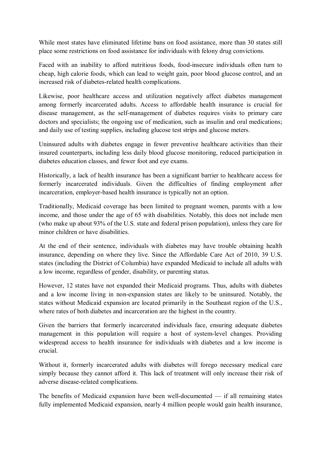While most states have eliminated lifetime bans on food assistance, more than 30 states still place some restrictions on food assistance for individuals with felony drug convictions.

Faced with an inability to afford nutritious foods, food-insecure individuals often turn to cheap, high calorie foods, which can lead to weight gain, poor blood glucose control, and an increased risk of diabetes-related health complications.

Likewise, poor healthcare access and utilization negatively affect diabetes management among formerly incarcerated adults. Access to affordable health insurance is crucial for disease management, as the self-management of diabetes requires visits to primary care doctors and specialists; the ongoing use of medication, such as insulin and oral medications; and daily use of testing supplies, including glucose test strips and glucose meters.

Uninsured adults with diabetes engage in fewer preventive healthcare activities than their insured counterparts, including less daily blood glucose monitoring, reduced participation in diabetes education classes, and fewer foot and eye exams.

Historically, a lack of health insurance has been a significant barrier to healthcare access for formerly incarcerated individuals. Given the difficulties of finding employment after incarceration, employer-based health insurance is typically not an option.

Traditionally, Medicaid coverage has been limited to pregnant women, parents with a low income, and those under the age of 65 with disabilities. Notably, this does not include men (who make up about 93% of the U.S. state and federal prison population), unless they care for minor children or have disabilities.

At the end of their sentence, individuals with diabetes may have trouble obtaining health insurance, depending on where they live. Since the Affordable Care Act of 2010, 39 U.S. states (including the District of Columbia) have expanded Medicaid to include all adults with a low income, regardless of gender, disability, or parenting status.

However, 12 states have not expanded their Medicaid programs. Thus, adults with diabetes and a low income living in non-expansion states are likely to be uninsured. Notably, the states without Medicaid expansion are located primarily in the Southeast region of the U.S., where rates of both diabetes and incarceration are the highest in the country.

Given the barriers that formerly incarcerated individuals face, ensuring adequate diabetes management in this population will require a host of system-level changes. Providing widespread access to health insurance for individuals with diabetes and a low income is crucial.

Without it, formerly incarcerated adults with diabetes will forego necessary medical care simply because they cannot afford it. This lack of treatment will only increase their risk of adverse disease-related complications.

The benefits of Medicaid expansion have been well-documented — if all remaining states fully implemented Medicaid expansion, nearly 4 million people would gain health insurance,